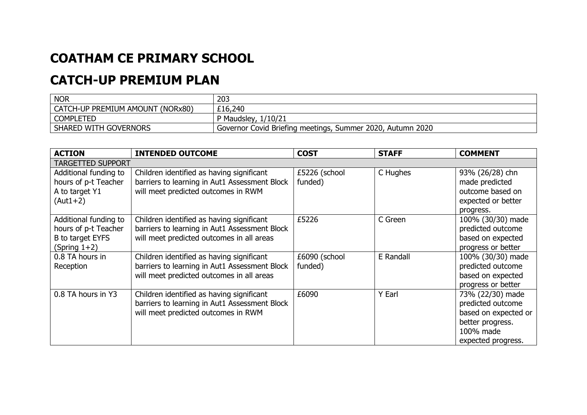## **COATHAM CE PRIMARY SCHOOL**

## **CATCH-UP PREMIUM PLAN**

| <b>NOR</b>                       | 203                                                        |
|----------------------------------|------------------------------------------------------------|
| CATCH-UP PREMIUM AMOUNT (NORx80) | £16,240                                                    |
| <b>COMPLETED</b>                 | P Maudsley, 1/10/21                                        |
| <b>SHARED WITH GOVERNORS</b>     | Governor Covid Briefing meetings, Summer 2020, Autumn 2020 |

| <b>ACTION</b>            | <b>INTENDED OUTCOME</b>                       | <b>COST</b>   | <b>STAFF</b> | <b>COMMENT</b>       |  |  |  |  |
|--------------------------|-----------------------------------------------|---------------|--------------|----------------------|--|--|--|--|
| <b>TARGETTED SUPPORT</b> |                                               |               |              |                      |  |  |  |  |
| Additional funding to    | Children identified as having significant     | £5226 (school | C Hughes     | 93% (26/28) chn      |  |  |  |  |
| hours of p-t Teacher     | barriers to learning in Aut1 Assessment Block | funded)       |              | made predicted       |  |  |  |  |
| A to target Y1           | will meet predicted outcomes in RWM           |               |              | outcome based on     |  |  |  |  |
| (Aut1+2)                 |                                               |               |              | expected or better   |  |  |  |  |
|                          |                                               |               |              | progress.            |  |  |  |  |
| Additional funding to    | Children identified as having significant     | £5226         | C Green      | 100% (30/30) made    |  |  |  |  |
| hours of p-t Teacher     | barriers to learning in Aut1 Assessment Block |               |              | predicted outcome    |  |  |  |  |
| B to target EYFS         | will meet predicted outcomes in all areas     |               |              | based on expected    |  |  |  |  |
| (Spring $1+2$ )          |                                               |               |              | progress or better   |  |  |  |  |
| 0.8 TA hours in          | Children identified as having significant     | £6090 (school | E Randall    | 100% (30/30) made    |  |  |  |  |
| Reception                | barriers to learning in Aut1 Assessment Block | funded)       |              | predicted outcome    |  |  |  |  |
|                          | will meet predicted outcomes in all areas     |               |              | based on expected    |  |  |  |  |
|                          |                                               |               |              | progress or better   |  |  |  |  |
| 0.8 TA hours in Y3       | Children identified as having significant     | £6090         | Y Earl       | 73% (22/30) made     |  |  |  |  |
|                          | barriers to learning in Aut1 Assessment Block |               |              | predicted outcome    |  |  |  |  |
|                          | will meet predicted outcomes in RWM           |               |              | based on expected or |  |  |  |  |
|                          |                                               |               |              | better progress.     |  |  |  |  |
|                          |                                               |               |              | 100% made            |  |  |  |  |
|                          |                                               |               |              | expected progress.   |  |  |  |  |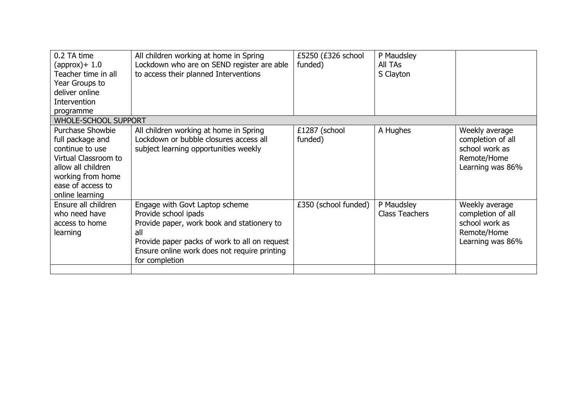| 0.2 TA time<br>$(approx$ )+ 1.0<br>Teacher time in all<br>Year Groups to<br>deliver online<br>Intervention<br>programme                                                   | All children working at home in Spring<br>Lockdown who are on SEND register are able<br>to access their planned Interventions                                                                                                  | £5250 (£326 school<br>funded) | P Maudsley<br>All TAs<br>S Clayton  |                                                                                          |  |  |
|---------------------------------------------------------------------------------------------------------------------------------------------------------------------------|--------------------------------------------------------------------------------------------------------------------------------------------------------------------------------------------------------------------------------|-------------------------------|-------------------------------------|------------------------------------------------------------------------------------------|--|--|
| <b>WHOLE-SCHOOL SUPPORT</b>                                                                                                                                               |                                                                                                                                                                                                                                |                               |                                     |                                                                                          |  |  |
| <b>Purchase Showbie</b><br>full package and<br>continue to use<br>Virtual Classroom to<br>allow all children<br>working from home<br>ease of access to<br>online learning | All children working at home in Spring<br>Lockdown or bubble closures access all<br>subject learning opportunities weekly                                                                                                      | £1287 (school<br>funded)      | A Hughes                            | Weekly average<br>completion of all<br>school work as<br>Remote/Home<br>Learning was 86% |  |  |
| Ensure all children<br>who need have<br>access to home<br>learning                                                                                                        | Engage with Govt Laptop scheme<br>Provide school ipads<br>Provide paper, work book and stationery to<br>all<br>Provide paper packs of work to all on request<br>Ensure online work does not require printing<br>for completion | £350 (school funded)          | P Maudsley<br><b>Class Teachers</b> | Weekly average<br>completion of all<br>school work as<br>Remote/Home<br>Learning was 86% |  |  |
|                                                                                                                                                                           |                                                                                                                                                                                                                                |                               |                                     |                                                                                          |  |  |